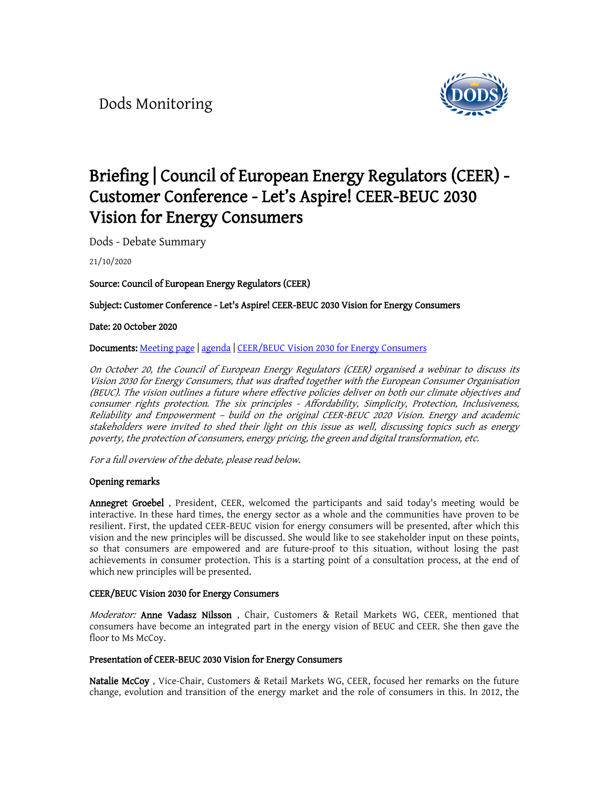<span id="page-0-0"></span>Dods Monitoring



# **[Briefing | Council of European Energy Regulators \(CEER\) -](https://app.dodsinformation.com/mvc/hash?/document/view/b45ee79fc0814c98b0ceed6d96d0ebab)  [Customer Conference - Let's Aspire! CEER-BEUC 2030](https://app.dodsinformation.com/mvc/hash?/document/view/b45ee79fc0814c98b0ceed6d96d0ebab)  [Vision for Energy Consumers](https://app.dodsinformation.com/mvc/hash?/document/view/b45ee79fc0814c98b0ceed6d96d0ebab)**

Dods - Debate Summary

21/10/2020

**Source: Council of European Energy Regulators (CEER)**

**Subject: Customer Conference - Let's Aspire! CEER-BEUC 2030 Vision for Energy Consumers**

**Date: 20 October 2020**

**Documents:** [Meeting](https://www.ceer.eu/ceer_customer_conference_-_let-s_aspire__ceer-beuc_2030_vision_for_energy_consumers) page | [agenda](https://www.ceer.eu/documents/104400/-/-/3f887cce-bf2f-9f9d-6286-9e65776be536) | [CEER/BEUC](https://www.beuc.eu/publications/beuc-x-2020-094_ceer_beuc_2030_vision_for_energy_consumers.pdf) Vision 2030 for Energy Consumers

*On October 20, the Council of European Energy Regulators (CEER) organised <sup>a</sup> webinar to discuss its Vision <sup>2030</sup> for Energy Consumers, that was drafted together with the European Consumer Organisation (BEUC). The vision outlines <sup>a</sup> future where effective policies deliver on both our climate objectives and consumer rights protection. The six principles - Affordability, Simplicity, Protection, Inclusiveness, Reliability and Empowerment – build on the original CEER-BEUC <sup>2020</sup> Vision. Energy and academic stakeholders were invited to shed their light on this issue as well, discussing topics such as energy poverty, the protection of consumers, energy pricing, the green and digital transformation, etc.*

*For <sup>a</sup> full overview of the debate, please read below.*

## **Opening remarks**

**Annegret Groebel** , President, CEER, welcomed the participants and said today's meeting would be interactive. In these hard times, the energy sector as a whole and the communities have proven to be resilient. First, the updated CEER-BEUC vision for energy consumers will be presented, after which this vision and the new principles will be discussed. She would like to see stakeholder input on these points, so that consumers are empowered and are future-proof to this situation, without losing the past achievements in consumer protection. This is a starting point of a consultation process, at the end of which new principles will be presented.

#### **CEER/BEUC Vision 2030 for Energy Consumers**

*Moderator:* **Anne Vadasz Nilsson** , Chair, Customers & Retail Markets WG, CEER, mentioned that consumers have become an integrated part in the energy vision of BEUC and CEER. She then gave the floor to Ms McCoy.

### **Presentation of CEER-BEUC 2030 Vision for Energy Consumers**

**Natalie McCoy** , Vice-Chair, Customers & Retail Markets WG, CEER, focused her remarks on the future change, evolution and transition of the energy market and the role of consumers in this. In 2012, the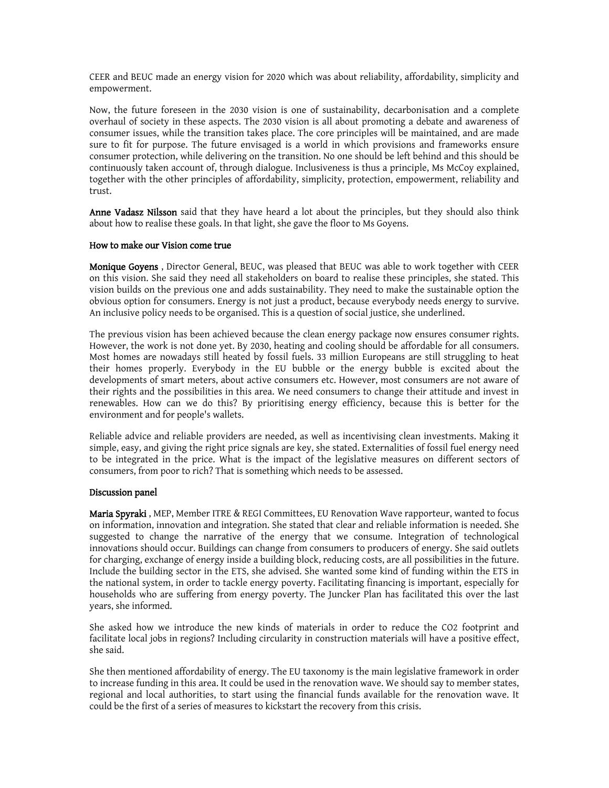CEER and BEUC made an energy vision for 2020 which was about reliability, affordability, simplicity and empowerment.

Now, the future foreseen in the 2030 vision is one of sustainability, decarbonisation and a complete overhaul of society in these aspects. The 2030 vision is all about promoting a debate and awareness of consumer issues, while the transition takes place. The core principles will be maintained, and are made sure to fit for purpose. The future envisaged is a world in which provisions and frameworks ensure consumer protection, while delivering on the transition. No one should be left behind and this should be continuously taken account of, through dialogue. Inclusiveness is thus a principle, Ms McCoy explained, together with the other principles of affordability, simplicity, protection, empowerment, reliability and trust.

**Anne Vadasz Nilsson** said that they have heard a lot about the principles, but they should also think about how to realise these goals. In that light, she gave the floor to Ms Goyens.

### **How to make our Vision come true**

**Monique Goyens** , Director General, BEUC, was pleased that BEUC was able to work together with CEER on this vision. She said they need all stakeholders on board to realise these principles, she stated. This vision builds on the previous one and adds sustainability. They need to make the sustainable option the obvious option for consumers. Energy is not just a product, because everybody needs energy to survive. An inclusive policy needs to be organised. This is a question of social justice, she underlined.

The previous vision has been achieved because the clean energy package now ensures consumer rights. However, the work is not done yet. By 2030, heating and cooling should be affordable for all consumers. Most homes are nowadays still heated by fossil fuels. 33 million Europeans are still struggling to heat their homes properly. Everybody in the EU bubble or the energy bubble is excited about the developments of smart meters, about active consumers etc. However, most consumers are not aware of their rights and the possibilities in this area. We need consumers to change their attitude and invest in renewables. How can we do this? By prioritising energy efficiency, because this is better for the environment and for people's wallets.

Reliable advice and reliable providers are needed, as well as incentivising clean investments. Making it simple, easy, and giving the right price signals are key, she stated. Externalities of fossil fuel energy need to be integrated in the price. What is the impact of the legislative measures on different sectors of consumers, from poor to rich? That is something which needs to be assessed.

#### **Discussion panel**

**Maria Spyraki** , MEP, Member ITRE & REGI Committees, EU Renovation Wave rapporteur, wanted to focus on information, innovation and integration. She stated that clear and reliable information is needed. She suggested to change the narrative of the energy that we consume. Integration of technological innovations should occur. Buildings can change from consumers to producers of energy. She said outlets for charging, exchange of energy inside a building block, reducing costs, are all possibilities in the future. Include the building sector in the ETS, she advised. She wanted some kind of funding within the ETS in the national system, in order to tackle energy poverty. Facilitating financing is important, especially for households who are suffering from energy poverty. The Juncker Plan has facilitated this over the last years, she informed.

She asked how we introduce the new kinds of materials in order to reduce the CO2 footprint and facilitate local jobs in regions? Including circularity in construction materials will have a positive effect, she said.

She then mentioned affordability of energy. The EU taxonomy is the main legislative framework in order to increase funding in this area. It could be used in the renovation wave. We should say to member states, regional and local authorities, to start using the financial funds available for the renovation wave. It could be the first of a series of measures to kickstart the recovery from this crisis.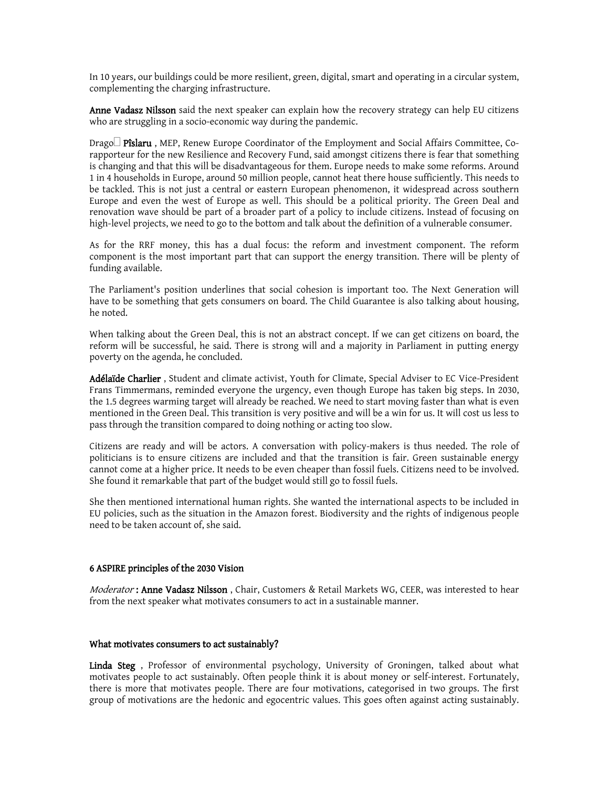In 10 years, our buildings could be more resilient, green, digital, smart and operating in a circular system, complementing the charging infrastructure.

**Anne Vadasz Nilsson** said the next speaker can explain how the recovery strategy can help EU citizens who are struggling in a socio-economic way during the pandemic.

Drago□ Pîslaru, MEP, Renew Europe Coordinator of the Employment and Social Affairs Committee, Corapporteur for the new Resilience and Recovery Fund, said amongst citizens there is fear that something is changing and that this will be disadvantageous for them. Europe needs to make some reforms. Around 1 in 4 households in Europe, around 50 million people, cannot heat there house sufficiently. This needs to be tackled. This is not just a central or eastern European phenomenon, it widespread across southern Europe and even the west of Europe as well. This should be a political priority. The Green Deal and renovation wave should be part of a broader part of a policy to include citizens. Instead of focusing on high-level projects, we need to go to the bottom and talk about the definition of a vulnerable consumer.

As for the RRF money, this has a dual focus: the reform and investment component. The reform component is the most important part that can support the energy transition. There will be plenty of funding available.

The Parliament's position underlines that social cohesion is important too. The Next Generation will have to be something that gets consumers on board. The Child Guarantee is also talking about housing, he noted.

When talking about the Green Deal, this is not an abstract concept. If we can get citizens on board, the reform will be successful, he said. There is strong will and a majority in Parliament in putting energy poverty on the agenda, he concluded.

**Adélaïde Charlier** , Student and climate activist, Youth for Climate, Special Adviser to EC Vice-President Frans Timmermans, reminded everyone the urgency, even though Europe has taken big steps. In 2030, the 1.5 degrees warming target will already be reached. We need to start moving faster than what is even mentioned in the Green Deal. This transition is very positive and will be a win for us. It will cost us less to pass through the transition compared to doing nothing or acting too slow.

Citizens are ready and will be actors. A conversation with policy-makers is thus needed. The role of politicians is to ensure citizens are included and that the transition is fair. Green sustainable energy cannot come at a higher price. It needs to be even cheaper than fossil fuels. Citizens need to be involved. She found it remarkable that part of the budget would still go to fossil fuels.

She then mentioned international human rights. She wanted the international aspects to be included in EU policies, such as the situation in the Amazon forest. Biodiversity and the rights of indigenous people need to be taken account of, she said.

## **6 ASPIRE principles of the 2030 Vision**

*Moderator* **: Anne Vadasz Nilsson** , Chair, Customers & Retail Markets WG, CEER, was interested to hear from the next speaker what motivates consumers to act in a sustainable manner.

#### **What motivates consumers to act sustainably?**

**Linda Steg** , Professor of environmental psychology, University of Groningen, talked about what motivates people to act sustainably. Often people think it is about money or self-interest. Fortunately, there is more that motivates people. There are four motivations, categorised in two groups. The first group of motivations are the hedonic and egocentric values. This goes often against acting sustainably.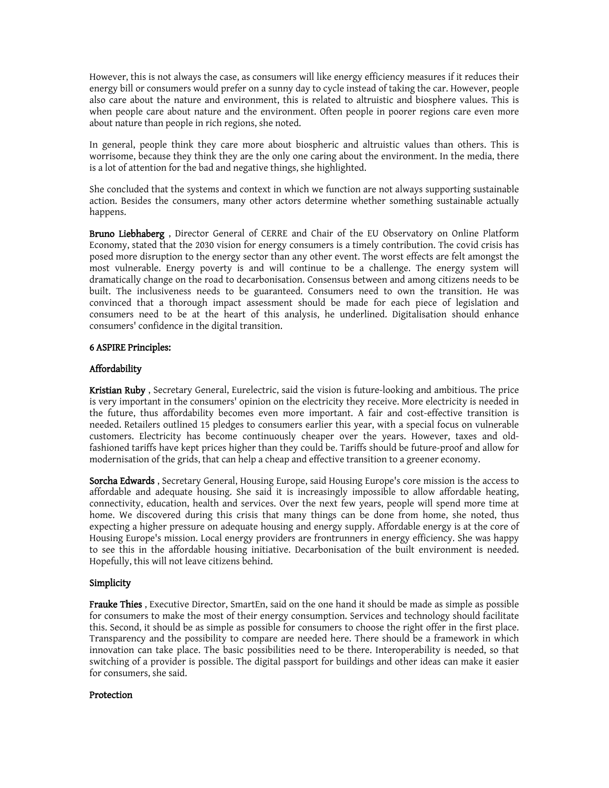However, this is not always the case, as consumers will like energy efficiency measures if it reduces their energy bill or consumers would prefer on a sunny day to cycle instead of taking the car. However, people also care about the nature and environment, this is related to altruistic and biosphere values. This is when people care about nature and the environment. Often people in poorer regions care even more about nature than people in rich regions, she noted.

In general, people think they care more about biospheric and altruistic values than others. This is worrisome, because they think they are the only one caring about the environment. In the media, there is a lot of attention for the bad and negative things, she highlighted.

She concluded that the systems and context in which we function are not always supporting sustainable action. Besides the consumers, many other actors determine whether something sustainable actually happens.

**Bruno Liebhaberg** , Director General of CERRE and Chair of the EU Observatory on Online Platform Economy, stated that the 2030 vision for energy consumers is a timely contribution. The covid crisis has posed more disruption to the energy sector than any other event. The worst effects are felt amongst the most vulnerable. Energy poverty is and will continue to be a challenge. The energy system will dramatically change on the road to decarbonisation. Consensus between and among citizens needs to be built. The inclusiveness needs to be guaranteed. Consumers need to own the transition. He was convinced that a thorough impact assessment should be made for each piece of legislation and consumers need to be at the heart of this analysis, he underlined. Digitalisation should enhance consumers' confidence in the digital transition.

## **6 ASPIRE Principles:**

# **Affordability**

**Kristian Ruby** , Secretary General, Eurelectric, said the vision is future-looking and ambitious. The price is very important in the consumers' opinion on the electricity they receive. More electricity is needed in the future, thus affordability becomes even more important. A fair and cost-effective transition is needed. Retailers outlined 15 pledges to consumers earlier this year, with a special focus on vulnerable customers. Electricity has become continuously cheaper over the years. However, taxes and oldfashioned tariffs have kept prices higher than they could be. Tariffs should be future-proof and allow for modernisation of the grids, that can help a cheap and effective transition to a greener economy.

**Sorcha Edwards** , Secretary General, Housing Europe, said Housing Europe's core mission is the access to affordable and adequate housing. She said it is increasingly impossible to allow affordable heating, connectivity, education, health and services. Over the next few years, people will spend more time at home. We discovered during this crisis that many things can be done from home, she noted, thus expecting a higher pressure on adequate housing and energy supply. Affordable energy is at the core of Housing Europe's mission. Local energy providers are frontrunners in energy efficiency. She was happy to see this in the affordable housing initiative. Decarbonisation of the built environment is needed. Hopefully, this will not leave citizens behind.

# **Simplicity**

**Frauke Thies** , Executive Director, SmartEn, said on the one hand it should be made as simple as possible for consumers to make the most of their energy consumption. Services and technology should facilitate this. Second, it should be as simple as possible for consumers to choose the right offer in the first place. Transparency and the possibility to compare are needed here. There should be a framework in which innovation can take place. The basic possibilities need to be there. Interoperability is needed, so that switching of a provider is possible. The digital passport for buildings and other ideas can make it easier for consumers, she said.

# **Protection**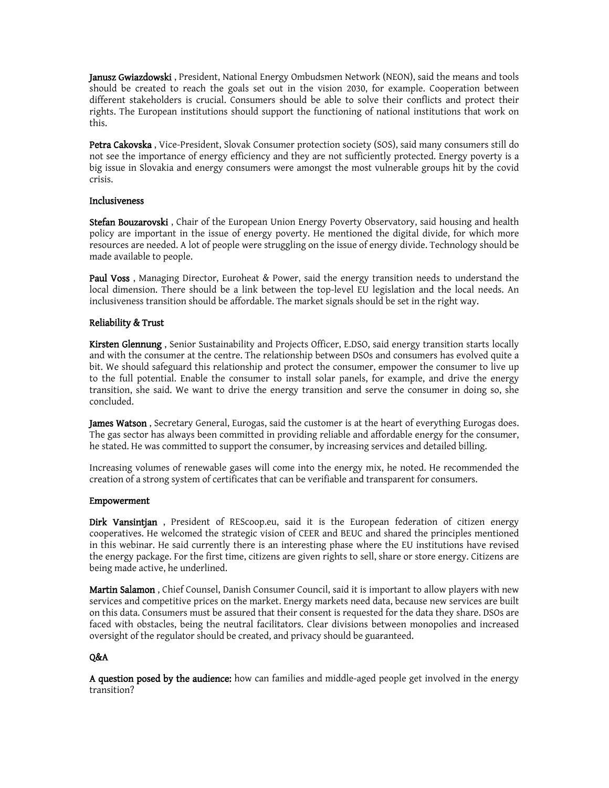**Janusz Gwiazdowski** , President, National Energy Ombudsmen Network (NEON), said the means and tools should be created to reach the goals set out in the vision 2030, for example. Cooperation between different stakeholders is crucial. Consumers should be able to solve their conflicts and protect their rights. The European institutions should support the functioning of national institutions that work on this.

**Petra Cakovska** , Vice-President, Slovak Consumer protection society (SOS), said many consumers still do not see the importance of energy efficiency and they are not sufficiently protected. Energy poverty is a big issue in Slovakia and energy consumers were amongst the most vulnerable groups hit by the covid crisis.

## **Inclusiveness**

**Stefan Bouzarovski** , Chair of the European Union Energy Poverty Observatory, said housing and health policy are important in the issue of energy poverty. He mentioned the digital divide, for which more resources are needed. A lot of people were struggling on the issue of energy divide. Technology should be made available to people.

**Paul Voss** , Managing Director, Euroheat & Power, said the energy transition needs to understand the local dimension. There should be a link between the top-level EU legislation and the local needs. An inclusiveness transition should be affordable. The market signals should be set in the right way.

# **Reliability & Trust**

**Kirsten Glennung** , Senior Sustainability and Projects Officer, E.DSO, said energy transition starts locally and with the consumer at the centre. The relationship between DSOs and consumers has evolved quite a bit. We should safeguard this relationship and protect the consumer, empower the consumer to live up to the full potential. Enable the consumer to install solar panels, for example, and drive the energy transition, she said. We want to drive the energy transition and serve the consumer in doing so, she concluded.

**James Watson** , Secretary General, Eurogas, said the customer is at the heart of everything Eurogas does. The gas sector has always been committed in providing reliable and affordable energy for the consumer, he stated. He was committed to support the consumer, by increasing services and detailed billing.

Increasing volumes of renewable gases will come into the energy mix, he noted. He recommended the creation of a strong system of certificates that can be verifiable and transparent for consumers.

## **Empowerment**

**Dirk Vansintjan** , President of REScoop.eu, said it is the European federation of citizen energy cooperatives. He welcomed the strategic vision of CEER and BEUC and shared the principles mentioned in this webinar. He said currently there is an interesting phase where the EU institutions have revised the energy package. For the first time, citizens are given rights to sell, share or store energy. Citizens are being made active, he underlined.

**Martin Salamon** , Chief Counsel, Danish Consumer Council, said it is important to allow players with new services and competitive prices on the market. Energy markets need data, because new services are built on this data. Consumers must be assured that their consent is requested for the data they share. DSOs are faced with obstacles, being the neutral facilitators. Clear divisions between monopolies and increased oversight of the regulator should be created, and privacy should be guaranteed.

## **Q&A**

**A question posed by the audience:** how can families and middle-aged people get involved in the energy transition?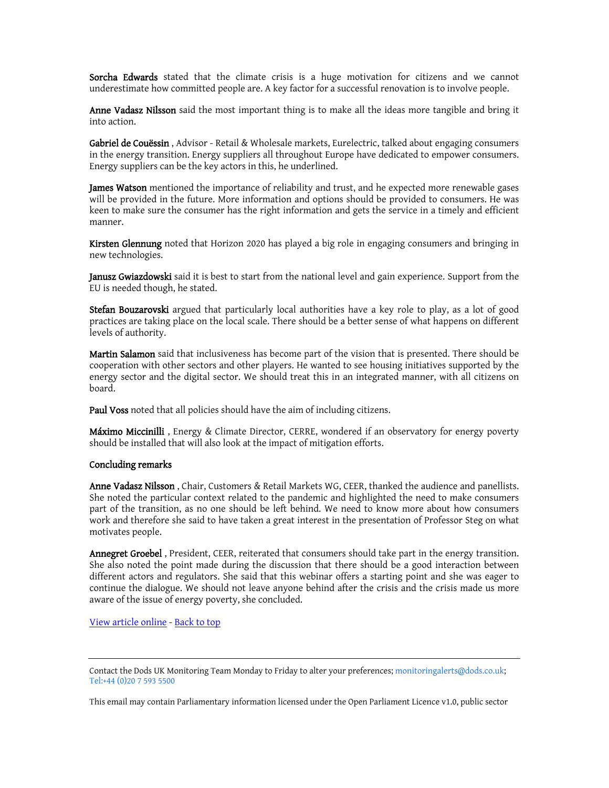**Sorcha Edwards** stated that the climate crisis is a huge motivation for citizens and we cannot underestimate how committed people are. A key factor for a successful renovation is to involve people.

**Anne Vadasz Nilsson** said the most important thing is to make all the ideas more tangible and bring it into action.

**Gabriel de Couëssin** , Advisor - Retail & Wholesale markets, Eurelectric, talked about engaging consumers in the energy transition. Energy suppliers all throughout Europe have dedicated to empower consumers. Energy suppliers can be the key actors in this, he underlined.

**James Watson** mentioned the importance of reliability and trust, and he expected more renewable gases will be provided in the future. More information and options should be provided to consumers. He was keen to make sure the consumer has the right information and gets the service in a timely and efficient manner.

**Kirsten Glennung** noted that Horizon 2020 has played a big role in engaging consumers and bringing in new technologies.

**Janusz Gwiazdowski** said it is best to start from the national level and gain experience. Support from the EU is needed though, he stated.

**Stefan Bouzarovski** argued that particularly local authorities have a key role to play, as a lot of good practices are taking place on the local scale. There should be a better sense of what happens on different levels of authority.

**Martin Salamon** said that inclusiveness has become part of the vision that is presented. There should be cooperation with other sectors and other players. He wanted to see housing initiatives supported by the energy sector and the digital sector. We should treat this in an integrated manner, with all citizens on board.

**Paul Voss** noted that all policies should have the aim of including citizens.

**Máximo Miccinilli** , Energy & Climate Director, CERRE, wondered if an observatory for energy poverty should be installed that will also look at the impact of mitigation efforts.

#### **Concluding remarks**

**Anne Vadasz Nilsson** , Chair, Customers & Retail Markets WG, CEER, thanked the audience and panellists. She noted the particular context related to the pandemic and highlighted the need to make consumers part of the transition, as no one should be left behind. We need to know more about how consumers work and therefore she said to have taken a great interest in the presentation of Professor Steg on what motivates people.

**Annegret Groebel** , President, CEER, reiterated that consumers should take part in the energy transition. She also noted the point made during the discussion that there should be a good interaction between different actors and regulators. She said that this webinar offers a starting point and she was eager to continue the dialogue. We should not leave anyone behind after the crisis and the crisis made us more aware of the issue of energy poverty, she concluded.

View [article](https://app.dodsinformation.com/mvc/hash?/document/view/b45ee79fc0814c98b0ceed6d96d0ebab) online - [Back](#page-0-0) to top

This email may contain Parliamentary information licensed under the Open Parliament Licence v1.0, public sector

Contact the Dods UK Monitoring Team Monday to Friday to alter your preferences; [monitoringalerts@dods.co.uk;](mailto://monitoringalerts@dods.co.uk) [Tel:+44](tel:02075935500) (0)20 7 593 5500